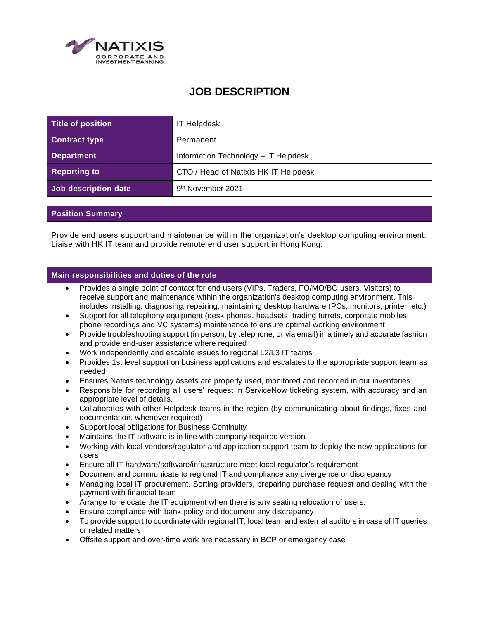

## **JOB DESCRIPTION**

| Title of position    | <b>IT Helpdesk</b>                   |
|----------------------|--------------------------------------|
| <b>Contract type</b> | Permanent                            |
| <b>Department</b>    | Information Technology - IT Helpdesk |
| <b>Reporting to</b>  | CTO / Head of Natixis HK IT Helpdesk |
| Job description date | 9 <sup>th</sup> November 2021        |

## **Position Summary**

Provide end users support and maintenance within the organization's desktop computing environment. Liaise with HK IT team and provide remote end user support in Hong Kong.

## **Main responsibilities and duties of the role**

- Provides a single point of contact for end users (VIPs, Traders, FO/MO/BO users, Visitors) to receive support and maintenance within the organization's desktop computing environment. This includes installing, diagnosing, repairing, maintaining desktop hardware (PCs, monitors, printer, etc.)
- Support for all telephony equipment (desk phones, headsets, trading turrets, corporate mobiles, phone recordings and VC systems) maintenance to ensure optimal working environment
- Provide troubleshooting support (in person, by telephone, or via email) in a timely and accurate fashion and provide end-user assistance where required
- Work independently and escalate issues to regional L2/L3 IT teams
- Provides 1st level support on business applications and escalates to the appropriate support team as needed
- Ensures Natixis technology assets are properly used, monitored and recorded in our inventories.
- Responsible for recording all users' request in ServiceNow ticketing system, with accuracy and an appropriate level of details.
- Collaborates with other Helpdesk teams in the region (by communicating about findings, fixes and documentation, whenever required)
- Support local obligations for Business Continuity
- Maintains the IT software is in line with company required version
- Working with local vendors/regulator and application support team to deploy the new applications for users
- Ensure all IT hardware/software/infrastructure meet local regulator's requirement
- Document and communicate to regional IT and compliance any divergence or discrepancy
- Managing local IT procurement. Sorting providers, preparing purchase request and dealing with the payment with financial team
- Arrange to relocate the IT equipment when there is any seating relocation of users.
- Ensure compliance with bank policy and document any discrepancy
- To provide support to coordinate with regional IT, local team and external auditors in case of IT queries or related matters
- Offsite support and over-time work are necessary in BCP or emergency case